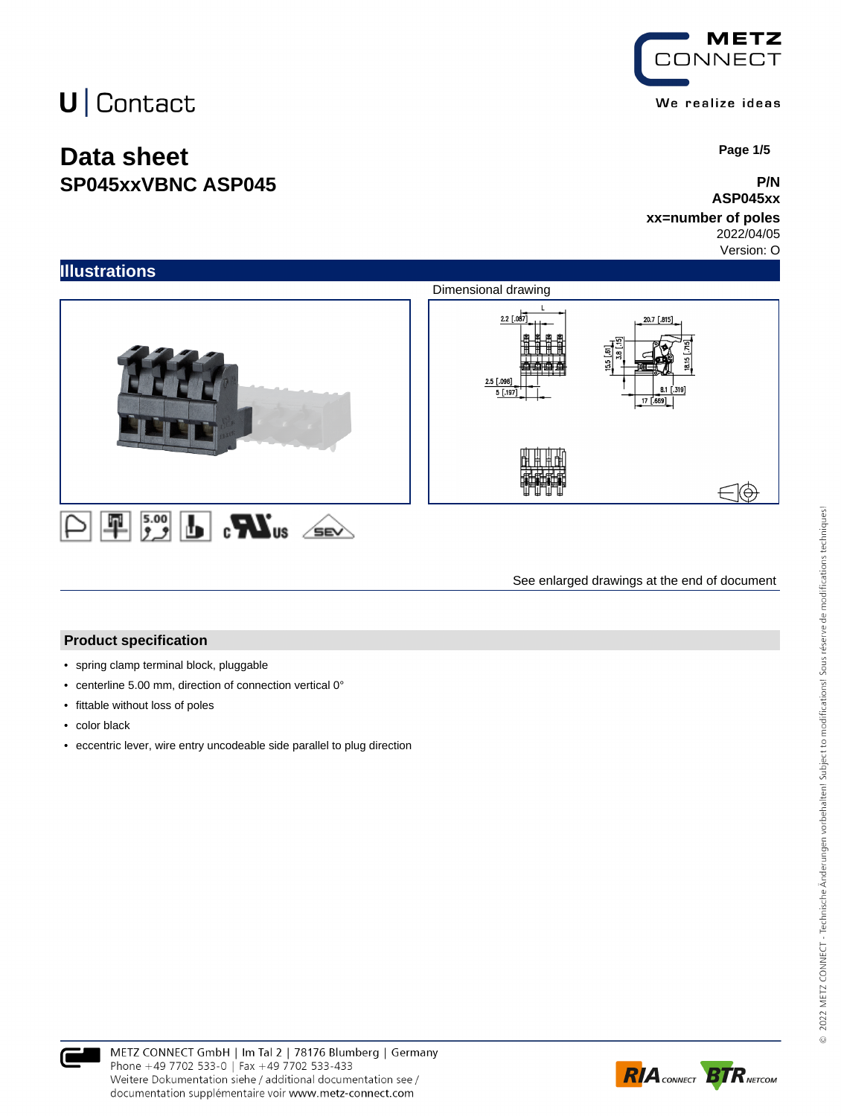## **Data sheet SP045xxVBNC ASP045**

**METZ CONNECT** We realize ideas

 **Page 1/5**

#### **P/N ASP045xx**

### **xx=number of poles**

2022/04/05

Version: O



See enlarged drawings at the end of document

#### **Product specification**

- spring clamp terminal block, pluggable
- centerline 5.00 mm, direction of connection vertical 0°
- fittable without loss of poles
- color black
- eccentric lever, wire entry uncodeable side parallel to plug direction



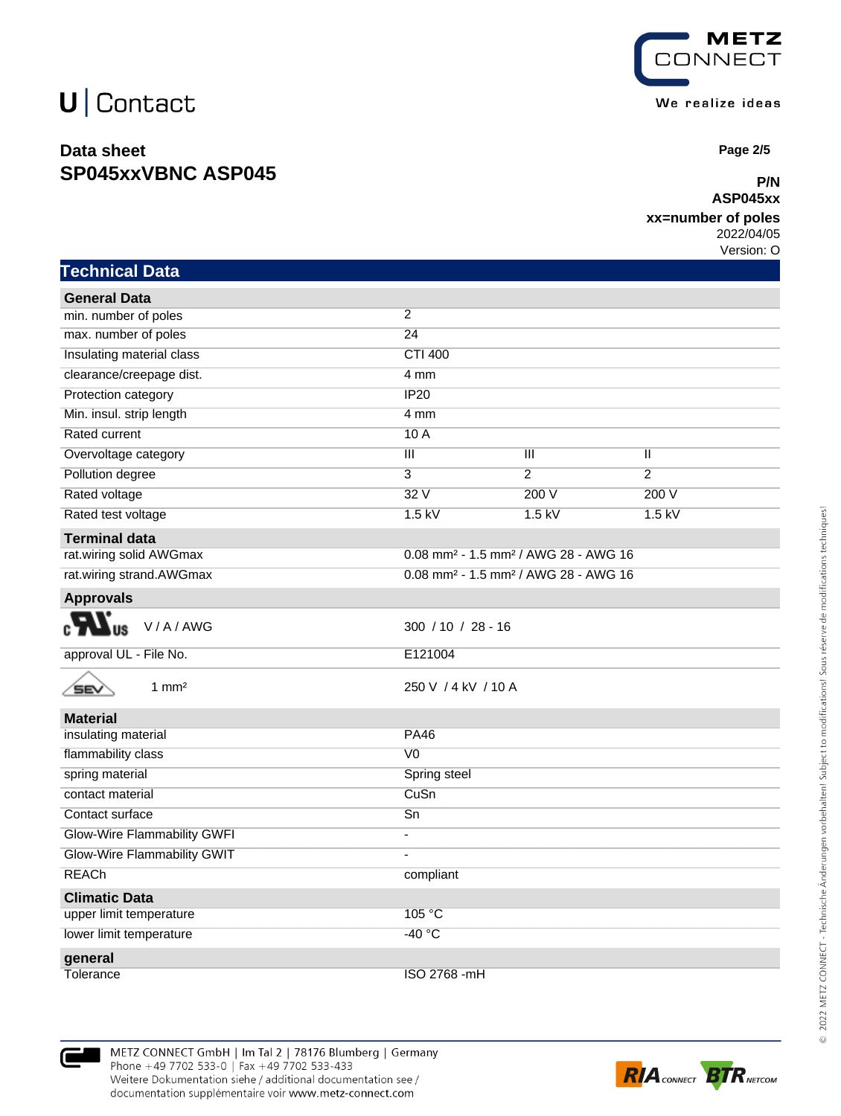### **Data sheet SP045xxVBNC ASP045**



 **Page 2/5**

#### **P/N ASP045xx**

### **xx=number of poles**

2022/04/05 Version: O

| <b>Technical Data</b>              |                                                              |                |                |  |
|------------------------------------|--------------------------------------------------------------|----------------|----------------|--|
| <b>General Data</b>                |                                                              |                |                |  |
| min. number of poles               | $\overline{2}$                                               |                |                |  |
| max. number of poles               | 24                                                           |                |                |  |
| Insulating material class          | <b>CTI 400</b>                                               |                |                |  |
| clearance/creepage dist.           | 4 mm                                                         |                |                |  |
| Protection category                | IP20                                                         |                |                |  |
| Min. insul. strip length           | 4 mm                                                         |                |                |  |
| Rated current                      | 10A                                                          |                |                |  |
| Overvoltage category               | $\overline{\mathsf{III}}$                                    | Ш              | π              |  |
| Pollution degree                   | 3                                                            | $\overline{2}$ | $\overline{2}$ |  |
| Rated voltage                      | 32V                                                          | 200V           | 200 V          |  |
| Rated test voltage                 | $1.5$ kV                                                     | $1.5$ kV       | $1.5$ kV       |  |
| <b>Terminal data</b>               |                                                              |                |                |  |
| rat.wiring solid AWGmax            | 0.08 mm <sup>2</sup> - 1.5 mm <sup>2</sup> / AWG 28 - AWG 16 |                |                |  |
| rat.wiring strand.AWGmax           | 0.08 mm <sup>2</sup> - 1.5 mm <sup>2</sup> / AWG 28 - AWG 16 |                |                |  |
| <b>Approvals</b>                   |                                                              |                |                |  |
| V/A/AWG                            | 300 / 10 / 28 - 16                                           |                |                |  |
| approval UL - File No.             | E121004                                                      |                |                |  |
| $1 \text{ mm}^2$<br>SEV            | 250 V / 4 kV / 10 A                                          |                |                |  |
| <b>Material</b>                    |                                                              |                |                |  |
| insulating material                | <b>PA46</b>                                                  |                |                |  |
| flammability class                 | V <sub>0</sub>                                               |                |                |  |
| spring material                    | Spring steel                                                 |                |                |  |
| contact material                   | CuSn                                                         |                |                |  |
| Contact surface                    | $\overline{Sn}$                                              |                |                |  |
| <b>Glow-Wire Flammability GWFI</b> | $\overline{\phantom{a}}$                                     |                |                |  |
| Glow-Wire Flammability GWIT        | $\overline{a}$                                               |                |                |  |
| <b>REACh</b>                       | compliant                                                    |                |                |  |
| <b>Climatic Data</b>               |                                                              |                |                |  |
| upper limit temperature            | 105 °C                                                       |                |                |  |
| lower limit temperature            | $-40 °C$                                                     |                |                |  |
| general                            |                                                              |                |                |  |
| Tolerance                          | ISO 2768 -mH                                                 |                |                |  |

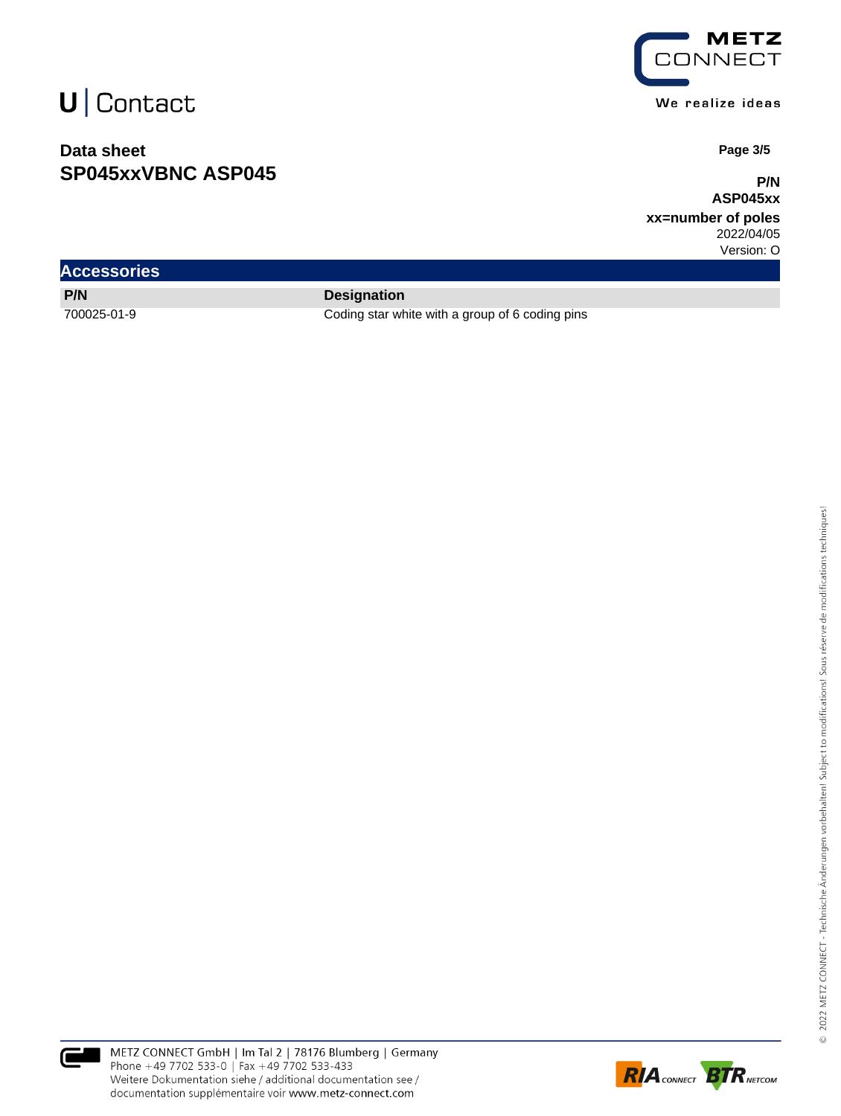### **Data sheet SP045xxVBNC ASP045**



We realize ideas

 **Page 3/5**

**P/N ASP045xx**

**xx=number of poles** 2022/04/05

Version: O

| <b>Accessories</b> |  |
|--------------------|--|
| P/N                |  |

**Designation** 

700025-01-9 Coding star white with a group of 6 coding pins



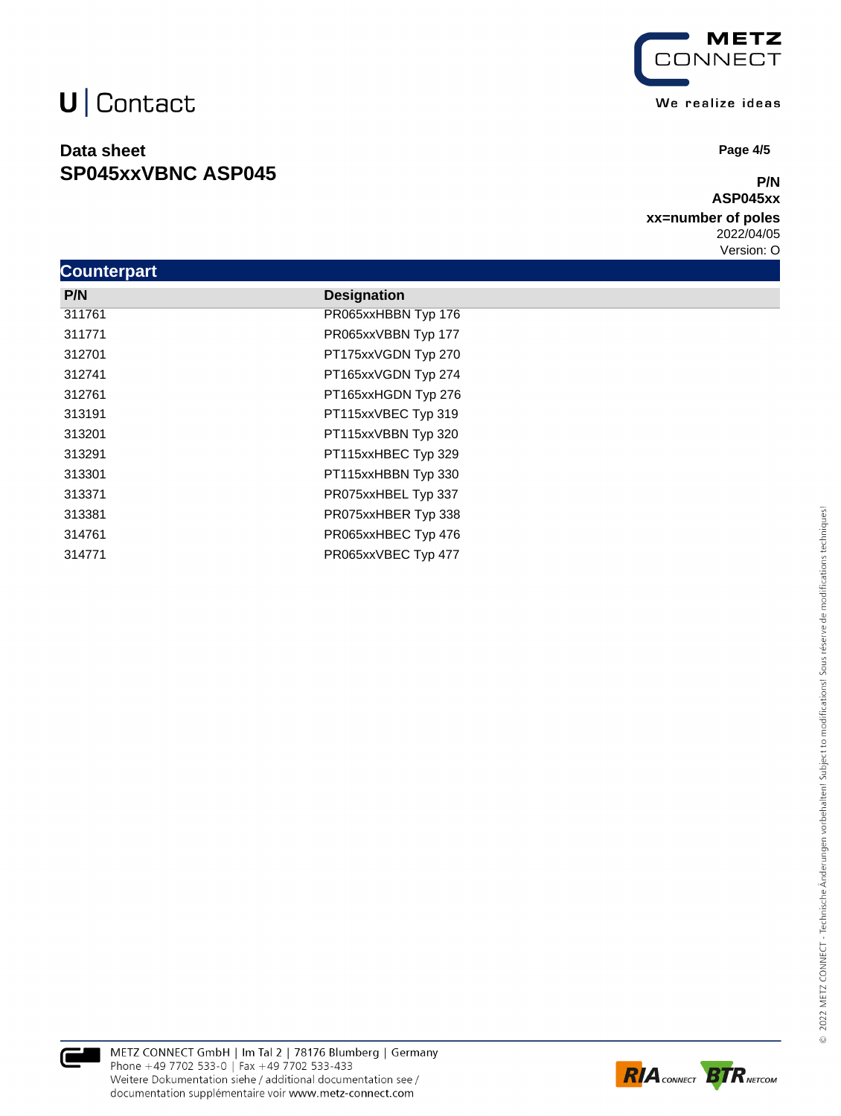### **Data sheet SP045xxVBNC ASP045**



 **Page 4/5**

#### **P/N ASP045xx**

**xx=number of poles** 2022/04/05

Version: O

| <b>Counterpart</b> |                     |
|--------------------|---------------------|
| P/N                | <b>Designation</b>  |
| 311761             | PR065xxHBBN Typ 176 |
| 311771             | PR065xxVBBN Typ 177 |
| 312701             | PT175xxVGDN Typ 270 |
| 312741             | PT165xxVGDN Typ 274 |
| 312761             | PT165xxHGDN Typ 276 |
| 313191             | PT115xxVBEC Typ 319 |
| 313201             | PT115xxVBBN Typ 320 |
| 313291             | PT115xxHBEC Typ 329 |
| 313301             | PT115xxHBBN Typ 330 |
| 313371             | PR075xxHBEL Typ 337 |
| 313381             | PR075xxHBER Typ 338 |
| 314761             | PR065xxHBEC Typ 476 |
| 314771             | PR065xxVBEC Typ 477 |